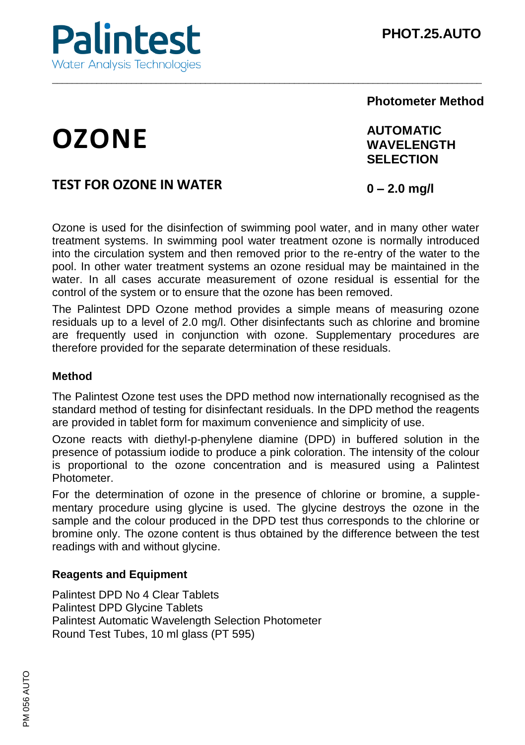

# **Photometer Method**

# **OZONE**

# **AUTOMATIC WAVELENGTH SELECTION**

# **TEST FOR OZONE IN WATER**

**0 – 2.0 mg/l** 

Ozone is used for the disinfection of swimming pool water, and in many other water treatment systems. In swimming pool water treatment ozone is normally introduced into the circulation system and then removed prior to the re-entry of the water to the pool. In other water treatment systems an ozone residual may be maintained in the water. In all cases accurate measurement of ozone residual is essential for the control of the system or to ensure that the ozone has been removed.

\_\_\_\_\_\_\_\_\_\_\_\_\_\_\_\_\_\_\_\_\_\_\_\_\_\_\_\_\_\_\_\_\_\_\_\_\_\_\_\_\_\_\_\_\_\_\_\_\_\_\_\_\_\_\_\_\_\_\_\_\_\_\_\_\_\_\_\_\_\_\_\_\_\_\_\_\_\_\_\_\_\_\_\_\_\_\_

The Palintest DPD Ozone method provides a simple means of measuring ozone residuals up to a level of 2.0 mg/l. Other disinfectants such as chlorine and bromine are frequently used in conjunction with ozone. Supplementary procedures are therefore provided for the separate determination of these residuals.

# **Method**

The Palintest Ozone test uses the DPD method now internationally recognised as the standard method of testing for disinfectant residuals. In the DPD method the reagents are provided in tablet form for maximum convenience and simplicity of use.

Ozone reacts with diethyl-p-phenylene diamine (DPD) in buffered solution in the presence of potassium iodide to produce a pink coloration. The intensity of the colour is proportional to the ozone concentration and is measured using a Palintest Photometer.

For the determination of ozone in the presence of chlorine or bromine, a supplementary procedure using glycine is used. The glycine destroys the ozone in the sample and the colour produced in the DPD test thus corresponds to the chlorine or bromine only. The ozone content is thus obtained by the difference between the test readings with and without glycine.

#### **Reagents and Equipment**

Palintest DPD No 4 Clear Tablets Palintest DPD Glycine Tablets Palintest Automatic Wavelength Selection Photometer Round Test Tubes, 10 ml glass (PT 595)